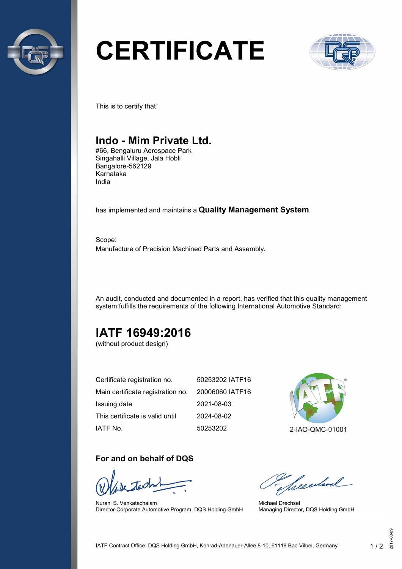

# **CERTIFICATE**



This is to certify that

## **Indo - Mim Private Ltd.**

#66, Bengaluru Aerospace Park Singahalli Village, Jala Hobli Bangalore-562129 Karnataka India

has implemented and maintains a **Quality Management System**.

Scope: Manufacture of Precision Machined Parts and Assembly.

An audit, conducted and documented in a report, has verified that this quality management system fulfills the requirements of the following International Automotive Standard:

# **IATF 16949:2016**

(without product design)

| Certificate registration no.                      | 50253202 IATF16 |
|---------------------------------------------------|-----------------|
| Main certificate registration no. 20006060 IATF16 |                 |
| Issuing date                                      | 2021-08-03      |
| This certificate is valid until                   | 2024-08-02      |
| IATF No.                                          | 50253202        |



#### **For and on behalf of DQS**

Nurani S. Venkatachalam Director-Corporate Automotive Program, DQS Holding GmbH

Secularel

Michael Drechsel Managing Director, DQS Holding GmbH